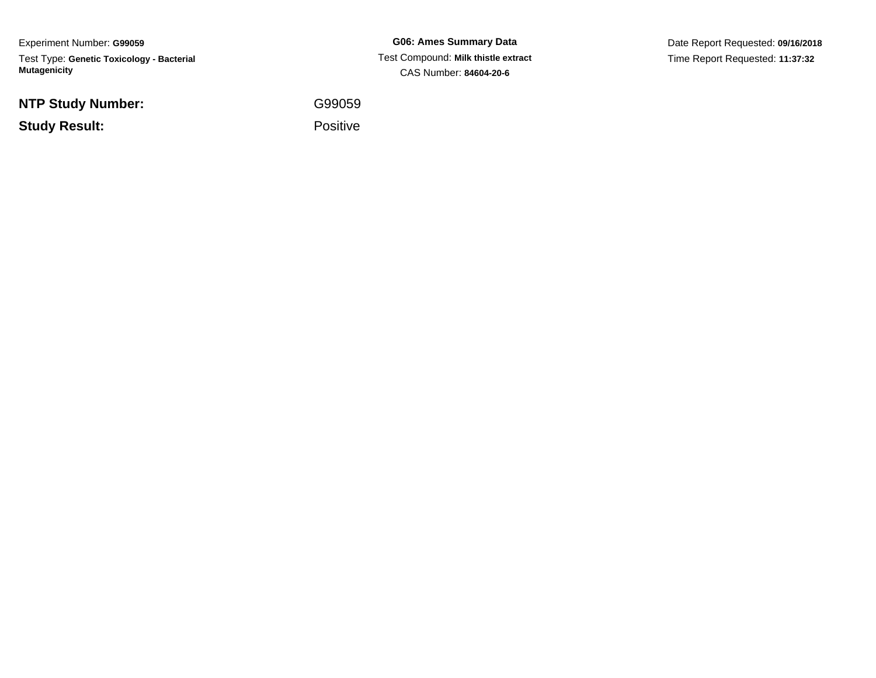Experiment Number: **G99059**Test Type: **Genetic Toxicology - Bacterial Mutagenicity**

**NTP Study Number:**

**Study Result:**

**G06: Ames Summary Data** Test Compound: **Milk thistle extract**CAS Number: **84604-20-6**

Date Report Requested: **09/16/2018**Time Report Requested: **11:37:32**

G99059

Positive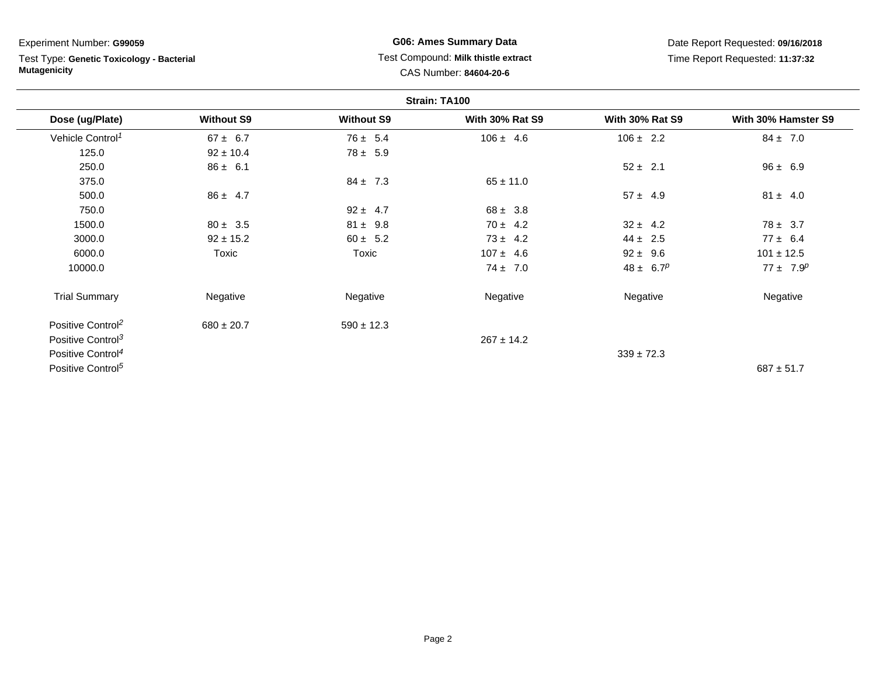Test Type: **Genetic Toxicology - Bacterial Mutagenicity**

# **G06: Ames Summary Data** Test Compound: **Milk thistle extract**CAS Number: **84604-20-6**

Date Report Requested: **09/16/2018**Time Report Requested: **11:37:32**

|                               |                   |                   | Strain: TA100          |                        |                     |
|-------------------------------|-------------------|-------------------|------------------------|------------------------|---------------------|
| Dose (ug/Plate)               | <b>Without S9</b> | <b>Without S9</b> | <b>With 30% Rat S9</b> | <b>With 30% Rat S9</b> | With 30% Hamster S9 |
| Vehicle Control <sup>1</sup>  | $67 \pm 6.7$      | $76 \pm 5.4$      | $106 \pm 4.6$          | $106 \pm 2.2$          | $84 \pm 7.0$        |
| 125.0                         | $92 \pm 10.4$     | $78 \pm 5.9$      |                        |                        |                     |
| 250.0                         | $86 \pm 6.1$      |                   |                        | $52 \pm 2.1$           | $96 \pm 6.9$        |
| 375.0                         |                   | $84 \pm 7.3$      | $65 \pm 11.0$          |                        |                     |
| 500.0                         | $86 \pm 4.7$      |                   |                        | $57 \pm 4.9$           | $81 \pm 4.0$        |
| 750.0                         |                   | $92 \pm 4.7$      | $68 \pm 3.8$           |                        |                     |
| 1500.0                        | $80 \pm 3.5$      | $81 \pm 9.8$      | $70 \pm 4.2$           | $32 \pm 4.2$           | $78 \pm 3.7$        |
| 3000.0                        | $92 \pm 15.2$     | $60 \pm 5.2$      | $73 \pm 4.2$           | $44 \pm 2.5$           | $77 \pm 6.4$        |
| 6000.0                        | Toxic             | Toxic             | $107 \pm 4.6$          | $92 \pm 9.6$           | $101 \pm 12.5$      |
| 10000.0                       |                   |                   | $74 \pm 7.0$           | $48 \pm 6.7^p$         | $77 \pm 7.9^p$      |
| <b>Trial Summary</b>          | Negative          | Negative          | Negative               | Negative               | Negative            |
| Positive Control <sup>2</sup> | $680 \pm 20.7$    | $590 \pm 12.3$    |                        |                        |                     |
| Positive Control <sup>3</sup> |                   |                   | $267 \pm 14.2$         |                        |                     |
| Positive Control <sup>4</sup> |                   |                   |                        | $339 \pm 72.3$         |                     |
| Positive Control <sup>5</sup> |                   |                   |                        |                        | $687 \pm 51.7$      |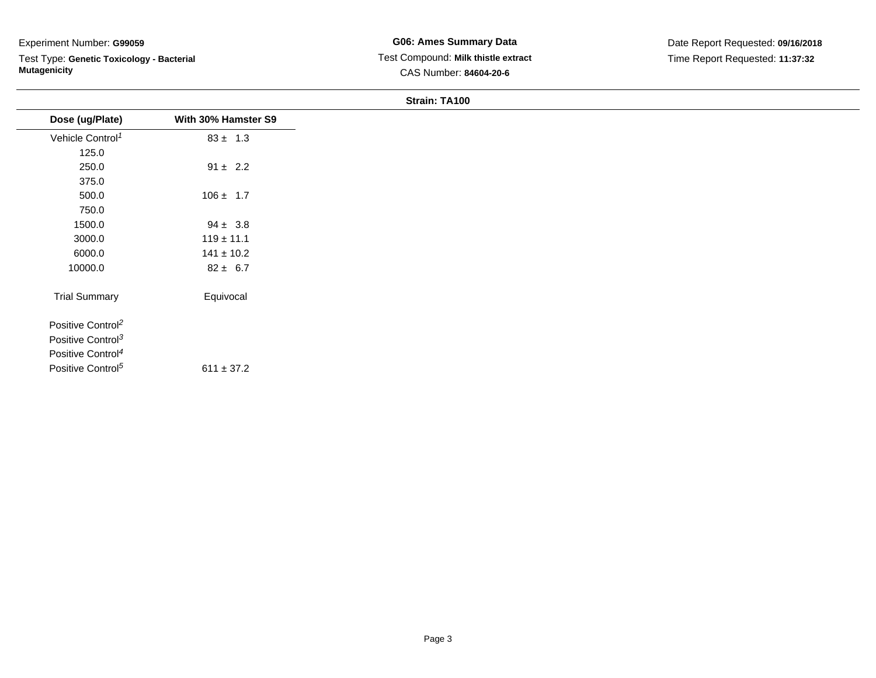Test Type: **Genetic Toxicology - Bacterial Mutagenicity**

### **Strain: TA100**

| Dose (ug/Plate)               | With 30% Hamster S9 |
|-------------------------------|---------------------|
| Vehicle Control <sup>1</sup>  | $83 \pm 1.3$        |
| 125.0                         |                     |
| 250.0                         | $91 \pm 2.2$        |
| 375.0                         |                     |
| 500.0                         | $106 \pm 1.7$       |
| 750.0                         |                     |
| 1500.0                        | $94 \pm 3.8$        |
| 3000.0                        | $119 \pm 11.1$      |
| 6000.0                        | $141 \pm 10.2$      |
| 10000.0                       | $82 \pm 6.7$        |
| <b>Trial Summary</b>          | Equivocal           |
| Positive Control <sup>2</sup> |                     |
| Positive Control <sup>3</sup> |                     |
| Positive Control <sup>4</sup> |                     |
| Positive Control <sup>5</sup> | $611 \pm 37.2$      |
|                               |                     |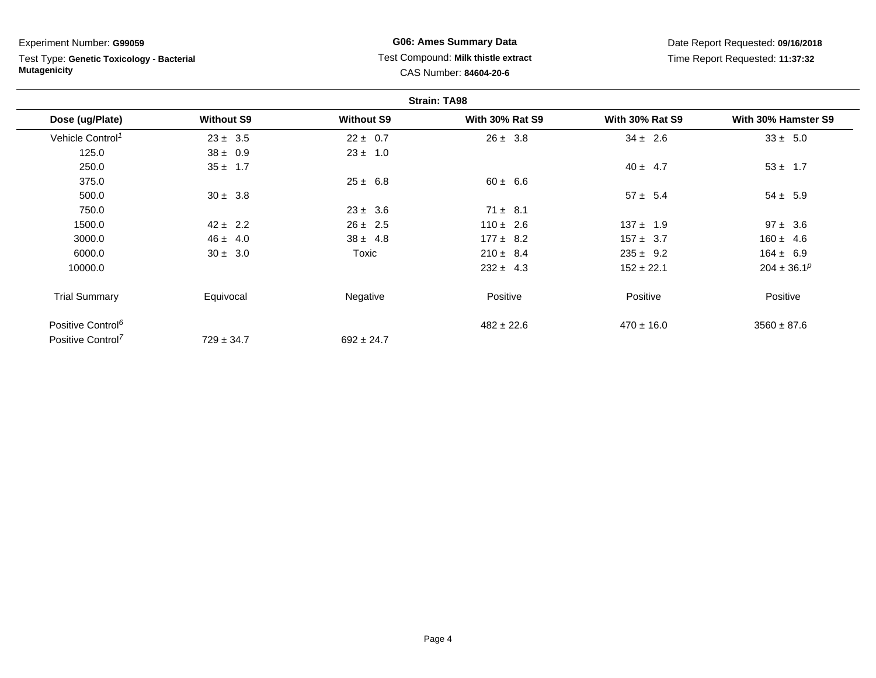Test Type: **Genetic Toxicology - Bacterial Mutagenicity**

# **G06: Ames Summary Data** Test Compound: **Milk thistle extract**CAS Number: **84604-20-6**

Date Report Requested: **09/16/2018**Time Report Requested: **11:37:32**

|                               |                   |                   | <b>Strain: TA98</b>    |                        |                     |
|-------------------------------|-------------------|-------------------|------------------------|------------------------|---------------------|
| Dose (ug/Plate)               | <b>Without S9</b> | <b>Without S9</b> | <b>With 30% Rat S9</b> | <b>With 30% Rat S9</b> | With 30% Hamster S9 |
| Vehicle Control <sup>1</sup>  | $23 \pm 3.5$      | $22 \pm 0.7$      | $26 \pm 3.8$           | $34 \pm 2.6$           | $33 \pm 5.0$        |
| 125.0                         | $38 \pm 0.9$      | $23 \pm 1.0$      |                        |                        |                     |
| 250.0                         | $35 \pm 1.7$      |                   |                        | $40 \pm 4.7$           | $53 \pm 1.7$        |
| 375.0                         |                   | $25 \pm 6.8$      | $60 \pm 6.6$           |                        |                     |
| 500.0                         | $30 \pm 3.8$      |                   |                        | $57 \pm 5.4$           | $54 \pm 5.9$        |
| 750.0                         |                   | $23 \pm 3.6$      | $71 \pm 8.1$           |                        |                     |
| 1500.0                        | $42 \pm 2.2$      | $26 \pm 2.5$      | $110 \pm 2.6$          | $137 \pm 1.9$          | $97 \pm 3.6$        |
| 3000.0                        | $46 \pm 4.0$      | $38 \pm 4.8$      | $177 \pm 8.2$          | $157 \pm 3.7$          | $160 \pm 4.6$       |
| 6000.0                        | $30 \pm 3.0$      | Toxic             | $210 \pm 8.4$          | $235 \pm 9.2$          | $164 \pm 6.9$       |
| 10000.0                       |                   |                   | $232 \pm 4.3$          | $152 \pm 22.1$         | $204 \pm 36.1^p$    |
| <b>Trial Summary</b>          | Equivocal         | Negative          | Positive               | Positive               | Positive            |
| Positive Control <sup>6</sup> |                   |                   | $482 \pm 22.6$         | $470 \pm 16.0$         | $3560 \pm 87.6$     |
| Positive Control <sup>7</sup> | $729 \pm 34.7$    | $692 \pm 24.7$    |                        |                        |                     |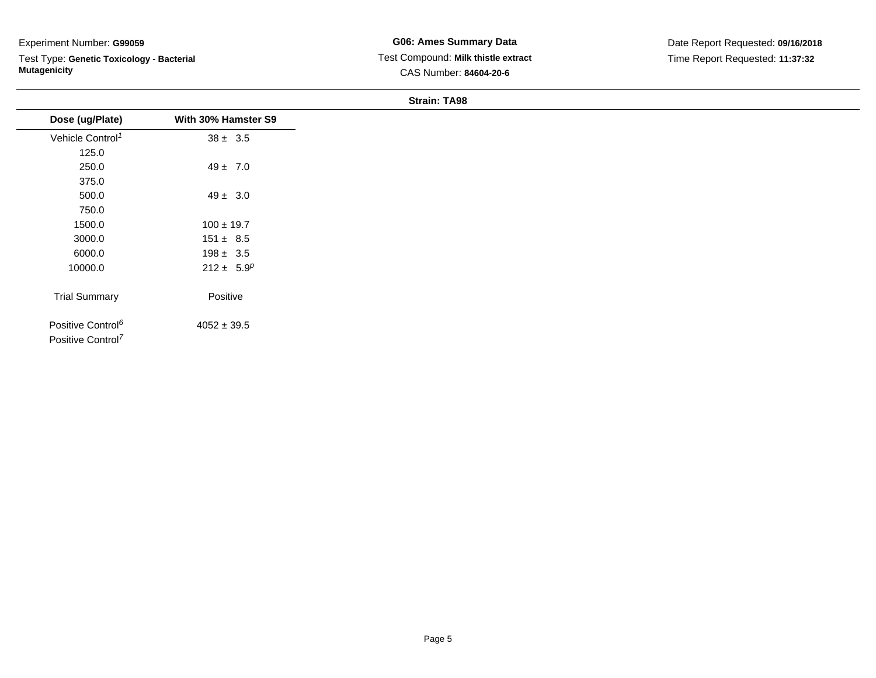Test Type: **Genetic Toxicology - Bacterial Mutagenicity**

#### **Strain: TA98**

|                                                                |                     | 0.14111.1700 |
|----------------------------------------------------------------|---------------------|--------------|
| Dose (ug/Plate)                                                | With 30% Hamster S9 |              |
| Vehicle Control <sup>1</sup>                                   | $38 \pm 3.5$        |              |
| 125.0                                                          |                     |              |
| 250.0                                                          | $49 \pm 7.0$        |              |
| 375.0                                                          |                     |              |
| 500.0                                                          | $49 \pm 3.0$        |              |
| 750.0                                                          |                     |              |
| 1500.0                                                         | $100 \pm 19.7$      |              |
| 3000.0                                                         | $151 \pm 8.5$       |              |
| 6000.0                                                         | $198 \pm 3.5$       |              |
| 10000.0                                                        | $212 \pm 5.9^p$     |              |
| <b>Trial Summary</b>                                           | Positive            |              |
| Positive Control <sup>6</sup><br>Positive Control <sup>7</sup> | $4052 \pm 39.5$     |              |